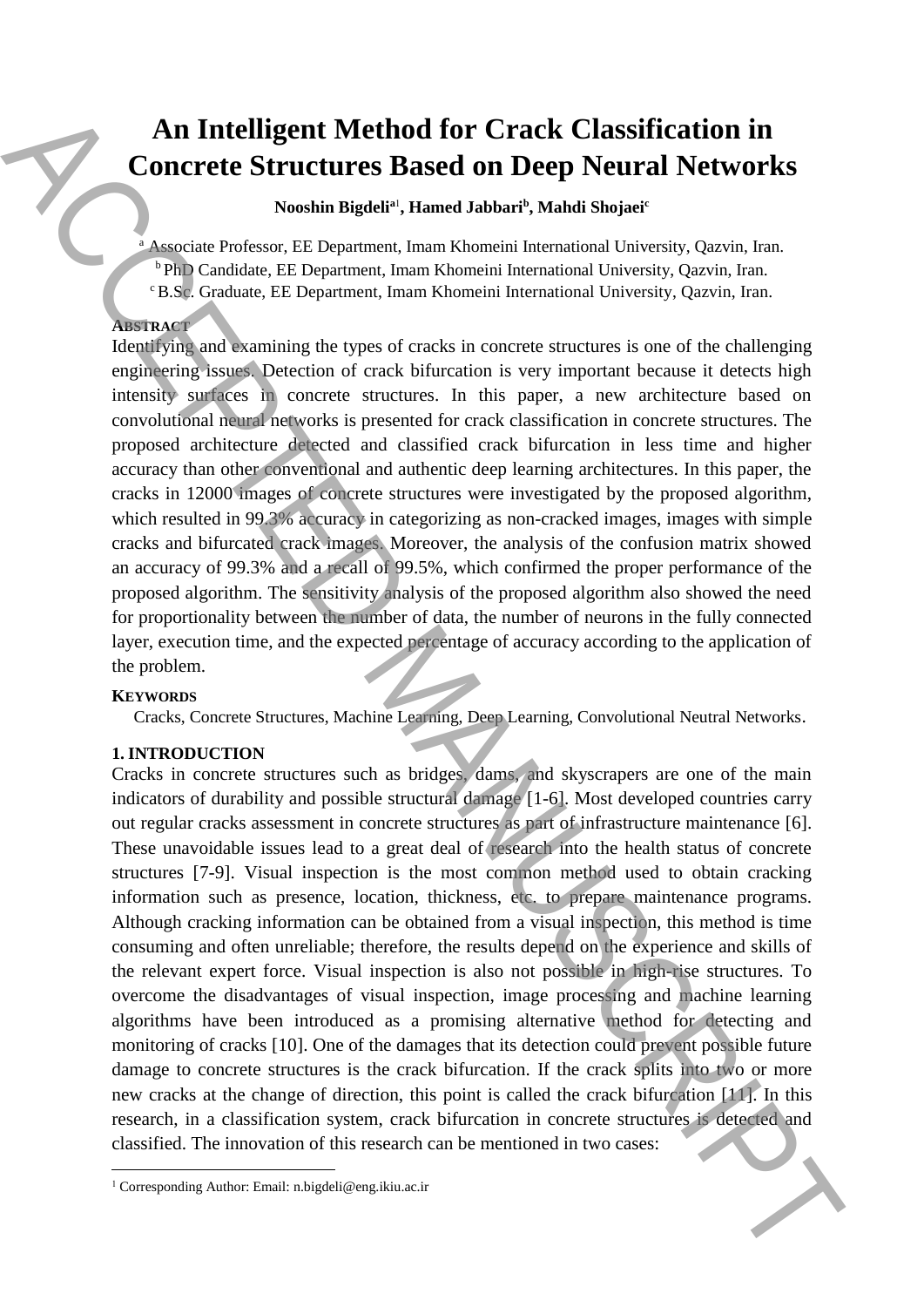# **An Intelligent Method for Crack Classification in Concrete Structures Based on Deep Neural Networks**

**Nooshin Bigdeli<sup>a</sup>**<sup>1</sup> **, Hamed Jabbari<sup>b</sup> , Mahdi Shojaei<sup>c</sup>**

<sup>a</sup> Associate Professor, EE Department, Imam Khomeini International University, Qazvin, Iran. <sup>b</sup> PhD Candidate, EE Department, Imam Khomeini International University, Qazvin, Iran. <sup>c</sup>B.Sc. Graduate, EE Department, Imam Khomeini International University, Qazvin, Iran.

## **ABSTRACT**

Identifying and examining the types of cracks in concrete structures is one of the challenging engineering issues. Detection of crack bifurcation is very important because it detects high intensity surfaces in concrete structures. In this paper, a new architecture based on convolutional neural networks is presented for crack classification in concrete structures. The proposed architecture detected and classified crack bifurcation in less time and higher accuracy than other conventional and authentic deep learning architectures. In this paper, the cracks in 12000 images of concrete structures were investigated by the proposed algorithm, which resulted in 99.3% accuracy in categorizing as non-cracked images, images with simple cracks and bifurcated crack images. Moreover, the analysis of the confusion matrix showed an accuracy of 99.3% and a recall of 99.5%, which confirmed the proper performance of the proposed algorithm. The sensitivity analysis of the proposed algorithm also showed the need for proportionality between the number of data, the number of neurons in the fully connected layer, execution time, and the expected percentage of accuracy according to the application of the problem.

## **KEYWORDS**

 $\overline{\phantom{a}}$ 

Cracks, Concrete Structures, Machine Learning, Deep Learning, Convolutional Neutral Networks.

## **1. INTRODUCTION**

Cracks in concrete structures such as bridges, dams, and skyscrapers are one of the main indicators of durability and possible structural damage [1-6]. Most developed countries carry out regular cracks assessment in concrete structures as part of infrastructure maintenance [6]. These unavoidable issues lead to a great deal of research into the health status of concrete structures [7-9]. Visual inspection is the most common method used to obtain cracking information such as presence, location, thickness, etc. to prepare maintenance programs. Although cracking information can be obtained from a visual inspection, this method is time consuming and often unreliable; therefore, the results depend on the experience and skills of the relevant expert force. Visual inspection is also not possible in high-rise structures. To overcome the disadvantages of visual inspection, image processing and machine learning algorithms have been introduced as a promising alternative method for detecting and monitoring of cracks [10]. One of the damages that its detection could prevent possible future damage to concrete structures is the crack bifurcation. If the crack splits into two or more new cracks at the change of direction, this point is called the crack bifurcation [11]. In this research, in a classification system, crack bifurcation in concrete structures is detected and classified. The innovation of this research can be mentioned in two cases: **An Intelligent Method for Crack Classification in**<br>**Concrete Structures Based on Deep Neural Metworks**<br>
News in News in News in Manuscrian University Ansies Shaped Metwork, 0.000<br>
The Conduct Electronic linear Research I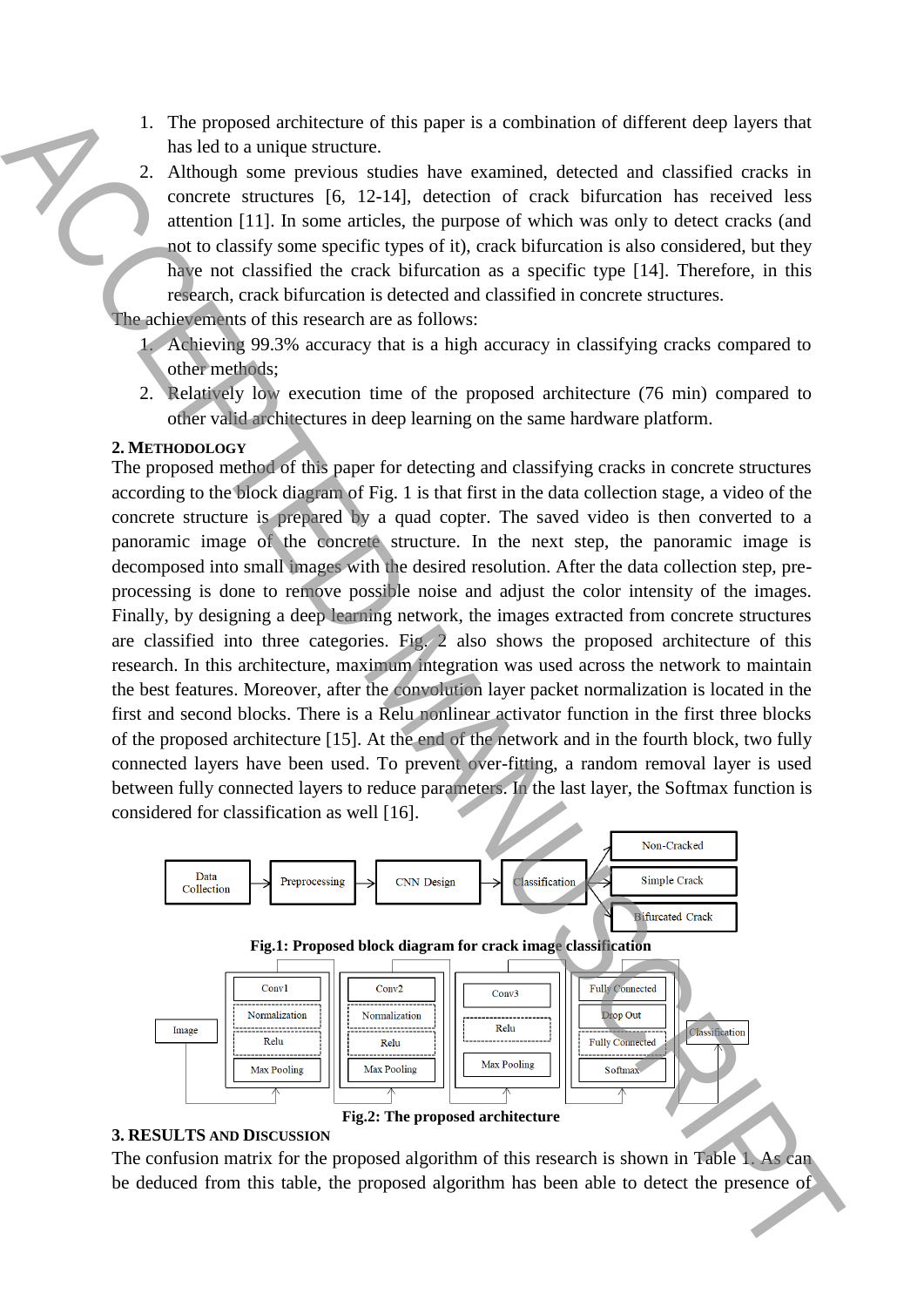- 1. The proposed architecture of this paper is a combination of different deep layers that has led to a unique structure.
- 2. Although some previous studies have examined, detected and classified cracks in concrete structures [6, 12-14], detection of crack bifurcation has received less attention [11]. In some articles, the purpose of which was only to detect cracks (and not to classify some specific types of it), crack bifurcation is also considered, but they have not classified the crack bifurcation as a specific type [14]. Therefore, in this research, crack bifurcation is detected and classified in concrete structures.

The achievements of this research are as follows:

- 1. Achieving 99.3% accuracy that is a high accuracy in classifying cracks compared to other methods;
- 2. Relatively low execution time of the proposed architecture (76 min) compared to other valid architectures in deep learning on the same hardware platform.

#### **2. METHODOLOGY**

The proposed method of this paper for detecting and classifying cracks in concrete structures according to the block diagram of Fig. 1 is that first in the data collection stage, a video of the concrete structure is prepared by a quad copter. The saved video is then converted to a panoramic image of the concrete structure. In the next step, the panoramic image is decomposed into small images with the desired resolution. After the data collection step, preprocessing is done to remove possible noise and adjust the color intensity of the images. Finally, by designing a deep learning network, the images extracted from concrete structures are classified into three categories. Fig. 2 also shows the proposed architecture of this research. In this architecture, maximum integration was used across the network to maintain the best features. Moreover, after the convolution layer packet normalization is located in the first and second blocks. There is a Relu nonlinear activator function in the first three blocks of the proposed architecture [15]. At the end of the network and in the fourth block, two fully connected layers have been used. To prevent over-fitting, a random removal layer is used between fully connected layers to reduce parameters. In the last layer, the Softmax function is considered for classification as well [16]. The proposed included from the proposed and absorber the proposed algorithm has been able to detect the proposed algorithm has been able to detect the proposed algorithm has been able to detect the proposed algorithm has



#### **3. RESULTS AND DISCUSSION**

The confusion matrix for the proposed algorithm of this research is shown in Table 1. As can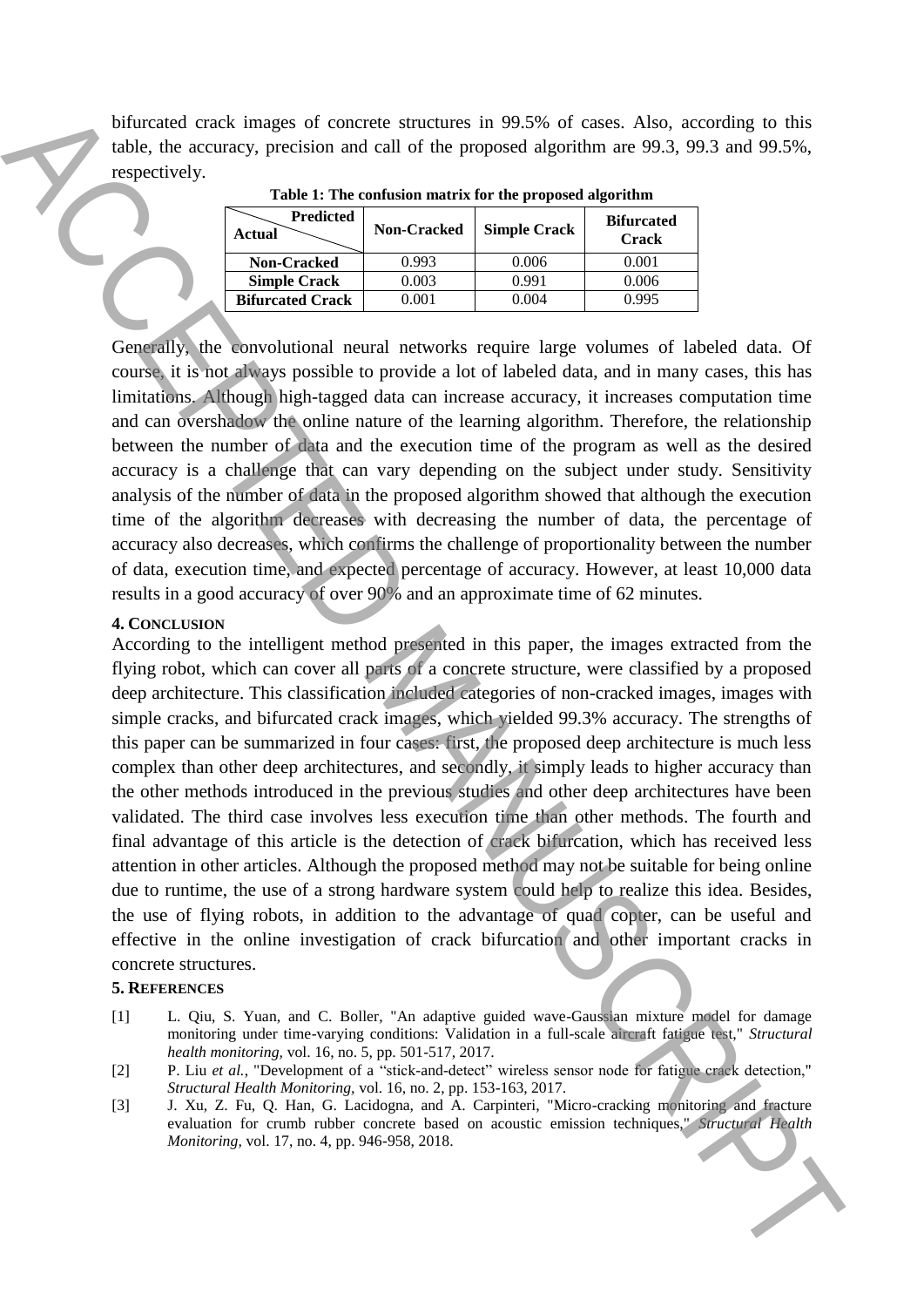bifurcated crack images of concrete structures in 99.5% of cases. Also, according to this table, the accuracy, precision and call of the proposed algorithm are 99.3, 99.3 and 99.5%, respectively.

| <b>Predicted</b><br>Actual | <b>Non-Cracked</b> | <b>Simple Crack</b> | <b>Bifurcated</b><br><b>Crack</b> |
|----------------------------|--------------------|---------------------|-----------------------------------|
| <b>Non-Cracked</b>         | 0.993              | 0.006               | 0.001                             |
| <b>Simple Crack</b>        | 0.003              | 0.991               | 0.006                             |
| <b>Bifurcated Crack</b>    | ) 001              | 0.004               | በ 995                             |

**Table 1: The confusion matrix for the proposed algorithm**

Generally, the convolutional neural networks require large volumes of labeled data. Of course, it is not always possible to provide a lot of labeled data, and in many cases, this has limitations. Although high-tagged data can increase accuracy, it increases computation time and can overshadow the online nature of the learning algorithm. Therefore, the relationship between the number of data and the execution time of the program as well as the desired accuracy is a challenge that can vary depending on the subject under study. Sensitivity analysis of the number of data in the proposed algorithm showed that although the execution time of the algorithm decreases with decreasing the number of data, the percentage of accuracy also decreases, which confirms the challenge of proportionality between the number of data, execution time, and expected percentage of accuracy. However, at least 10,000 data results in a good accuracy of over 90% and an approximate time of 62 minutes.

### **4. CONCLUSION**

According to the intelligent method presented in this paper, the images extracted from the flying robot, which can cover all parts of a concrete structure, were classified by a proposed deep architecture. This classification included categories of non-cracked images, images with simple cracks, and bifurcated crack images, which yielded 99.3% accuracy. The strengths of this paper can be summarized in four cases: first, the proposed deep architecture is much less complex than other deep architectures, and secondly, it simply leads to higher accuracy than the other methods introduced in the previous studies and other deep architectures have been validated. The third case involves less execution time than other methods. The fourth and final advantage of this article is the detection of crack bifurcation, which has received less attention in other articles. Although the proposed method may not be suitable for being online due to runtime, the use of a strong hardware system could help to realize this idea. Besides, the use of flying robots, in addition to the advantage of quad copter, can be useful and effective in the online investigation of crack bifurcation and other important cracks in concrete structures. **Monte Const. This change of construction in the proposed interaction in the second Alto, according to this constrained a specific constrained a specific constrained a monte constrained a monte constrained a monte constrai** 

#### **5. REFERENCES**

- [1] L. Qiu, S. Yuan, and C. Boller, "An adaptive guided wave-Gaussian mixture model for damage monitoring under time-varying conditions: Validation in a full-scale aircraft fatigue test," *Structural health monitoring,* vol. 16, no. 5, pp. 501-517, 2017.
- [2] P. Liu et al., "Development of a "stick-and-detect" wireless sensor node for fatigue crack detection," *Structural Health Monitoring,* vol. 16, no. 2, pp. 153-163, 2017.
- [3] J. Xu, Z. Fu, Q. Han, G. Lacidogna, and A. Carpinteri, "Micro-cracking monitoring and fracture evaluation for crumb rubber concrete based on acoustic emission techniques," *Structural Health*